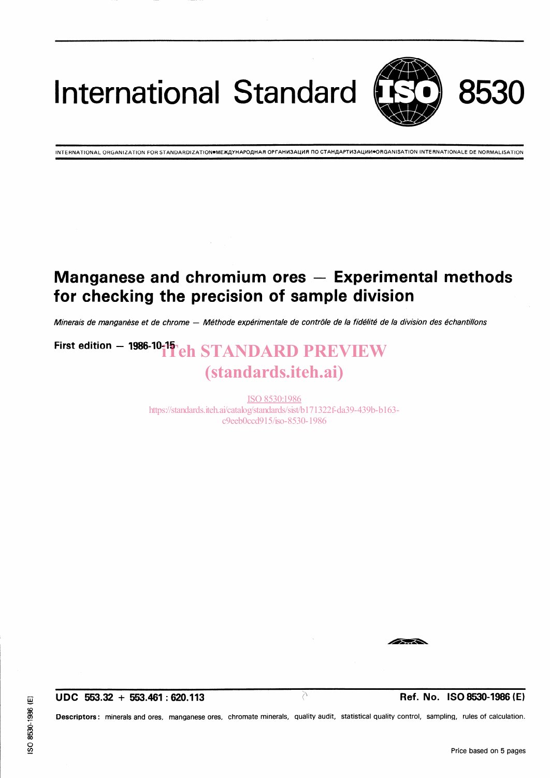International Standard



INTERNATIONAL ORGANIZATION FOR STANDARDIZATION●MEЖДУНАРОДНАЯ ОРГАНИЗАЦИЯ ПО СТАНДАРТИЗАЦИИ●ОRGANISATION INTERNATIONALE DE NORMALISATION

### Manganese and chromium ores  $-$  Experimental methods for checking the precision of Sample division

Minerais de manganèse et de chrome - Méthode expérimentale de contrôle de la fidélité de la division des échantillons

## First edition  $-$  1986-10-11  $\Gamma$  eh STANDARD PREVIEW (standards.iteh.ai)

ISO 8530:1986 https://standards.iteh.ai/catalog/standards/sist/b171322f-da39-439b-b163 c9eeb0ccd915/iso-8530-1986

UDC 553.32 + 553.461 : 620.113 in the set of  $\overline{C}$  is the Ref. No. ISO 8530-1986 (E)

 $\overline{\phantom{a}}$ 

Descriptors: minerals and ores, manganese ores, chromate minerals, quality audit, statistical quality control, sampling, rules of calculation.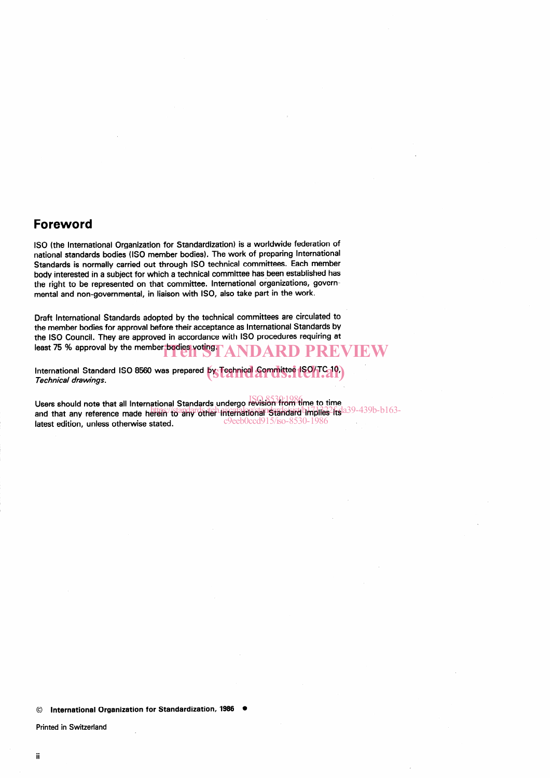#### Foreword

ISO (the International Organization for Standardization) is a worldwide federation of national Standards bodies (ISO member bodies). The work of preparing International Standards is normally carried out through ISO technical committees. Esch member body interested in a subject for which a technical committee has been established has the right to be represented on that committee. International organizations, governmental and non-governmental, in liaison with ISO, also take patt in the work.

Draft International Standards adopted by the technical committees are circulated to the member bodies for approval before their acceptance as International Standards by the ISO Council. They are approved in accordance with ISO procedures requiring at least 75 % approval by the member bodies voting. ANDARD PREVIEW

International Standard ISO 8560 was prepared **by Technical Sommittee ISO/TC 10**)<br>*Technical drawings* Technical drawings.

Users should note that all International Standards undergo revision from time to time ISO 8530:1986 sens should note that an international cumulation indicated in the herein in the contract of the sense in the standard in the sense of the sense in the sense of the sense of the sense of the sense of the sense of the sense latest edition, unless otherwise stated. c9eeb0ccd915/iso-8530-1986

Printed in Switzerland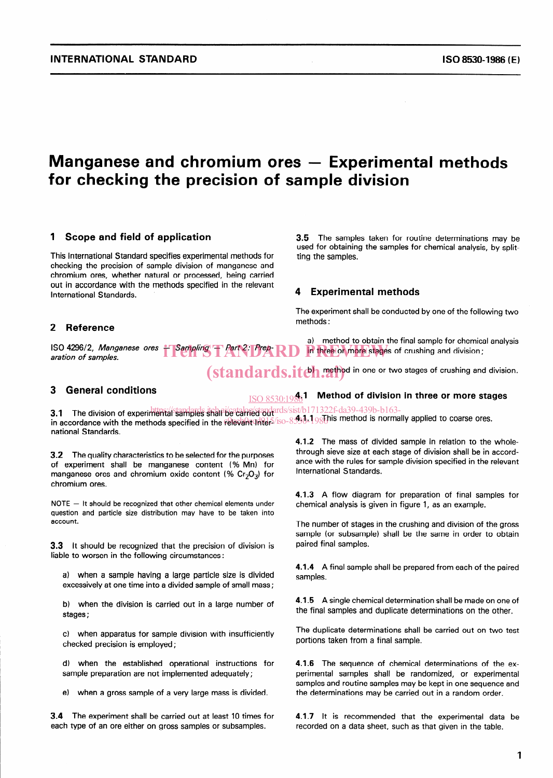~~

### Manganese and chromium ores  $-$  Experimental methods for checking the precision of Sample division

#### 1 Scope and field of application

This International Standard specifies experimental methods for checking the precision of Sample division of manganese and chromium ores, whether natural or processed, being carried out in accordance with the methods specified in the relevant International Standards.

#### 2 Reference

ISO 4296/2, Manganese ores - Sampling - Part 2: Prep-RD The three or more stages of<br>aration of samples. aration of samples.

3.5 The samples taken for routine determinations may be used for obtaining the samples for Chemical analysis, by splitting the samples.

#### **Experimental methods**

The experiment shall be conducted by one of the following two methods :

a) method to obtain the final sample for chemical analysis in three or more stages of crushing and division;

(standards.itch.rethod in one or two stages of crushing and division.

 $\underline{\rm ISO}~8530:1936$ 1  $\,$  Method of division in three or more stage

#### 3 General conditions

3.1 The division of experimental samilares shall be calmed and ards/sist/b171322f-da39-439b-b163-3. This division of experimental samples shall be carried out<br>in accordance with the methods specified in the relevant Inter-8530-1986 is method is normally applied to coarse ores. national Standards.

3.2 The quality characteristics to be selected for the purposes of experiment shall be manganese content (% Mn) for manganese ores and chromium oxide content (%  $Cr_2O_3$ ) for chromium ores.

 $NOTE - It should be recognized that other chemical elements under$ question and particle size distribution may have to be taken into account.

3.3 lt should be recognized that the precision of division is liable to worsen in the following circumstances:

a) when a Sample having a large particle size is divided excessively at one time into a divided sample of small mass;

b) when the division is carried out in a large number of stages ;

c) when apparatus for Sample division with insufficiently checked precision is employed ;

d) when the established operational instructions for sample preparation are not implemented adequately;

e) when a gross Sample of a very large mass is divided.

3.4 The experiment shall be carried out at least 10 times for each type of an ore either on gross samples or subsamples.

4.1.2 The mass of divided Sample in relation to the wholethrough sieve size at each stage of division shall be in accordance with the rules for sample division specified in the relevant International Standards.

4.1.3 A flow diagram for preparation of final samples for Chemical analysis is given in figure 1, as an example.

The number of stages in the crushing and division of the gross sample (or subsample) shall be the same in order to obtain paired final samples.

4.1.4 A final sample shall be prepared from each of the paired samples.

4.1.5 A single chemical determination shall be made on one of the final samples and duplicate determinations on the other.

The duplicate determinations shall be carried out on two test portions taken from a final sample.

4.1.6 The sequence of chemical determinations of the experimental samples shall be randomized, or experimental samples and routine samples may be kept in one sequence and the determinations may be carried out in a random Order.

4.1.7 lt is recommended that the experimental data be recorded on a data sheet, such as that given in the table.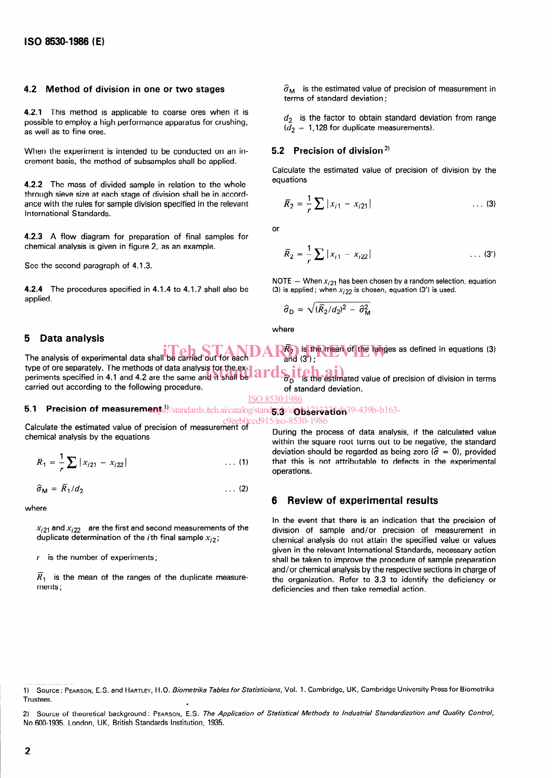#### 4.2 Method of division in one or two stages

4.2.1 This method is applicable to coarse ores when it is possible to employ a high performance apparatus for crushing, as weil as to fine ores.

When the experiment is intended to be conducted on an increment basis, the method of subsamples shall be applied.

4.2.2 The mass of divided sample in relation to the whole through sieve size at each stage of division shall be in accordance with the rules for sample division specified in the relevant International Standards.

4.2.3 A flow diagram for preparation of final samples for Chemical analysis is given in figure 2, as an example.

See the second paragraph of 4.1.3.

4.2.4 The procedures specified in 4.1.4 to 4.1.7 shall also be applied.

#### 5 Data analysis

#### $\widehat{\sigma}_{\mathsf{M}}\;$  is the estimated value of precision of measurement terms of standard deviation:

 $d_2$  is the factor to obtain standard deviation from range  $\overline{d}_2$  = 1,128 for duplicate measurements).

#### 5.2 Precision of division<sup>2)</sup>

Calculate the estimated value of precision of division by the equations

$$
\overline{R}_2 = \frac{1}{r} \sum |x_{i1} - x_{i21}| \qquad \qquad \dots \tag{3}
$$

or

$$
\overline{R}_2 = \frac{1}{r} \sum |x_{i1} - x_{i22}| \qquad \qquad \dots \text{ (3')}
$$

NOTE - When  $x_{i21}$  has been chosen by a random selection, equation (3) is applied; when  $x_{i22}$  is chosen, equation (3') is used.

$$
\hat{\sigma}_{\rm D} = \sqrt{(\bar{R}_2/d_2)^2 - \hat{\sigma}_{\rm M}^2}
$$

where

The analysis of experimental data shall be carried out for each type of ore separately. The methods of data analysis for the ex**in Teh STANDAR**<sup>2</sup> is the mean of the ranges as defined in equations (3) be carried out for each  $AR_2$  is the mean of the ranges as defined in equations (3) and (3');

type of ore separately. The methods of data analysis for the ex-<br>periments specified in 4.1 and 4.2 are the same and it shall be **and started** is the estimated value of precision of division in terms carried out according to the following procedure. of standard deviation.

ISO 8530:1986

#### 5.1 Precision of measurements!//standards.iteh.ai/catalog/stand5;d>/siobservation39-439b-b163-

Calculate the estimated value of precision of measurement of Chemical analysis by the equations

$$
\overline{R}_1 = \frac{1}{r} \sum |x_{i21} - x_{i22}| \qquad \qquad \dots (1)
$$

$$
\hat{\sigma}_{\mathsf{M}} = \overline{R}_1 / d_2 \tag{2}
$$

where

 $x_{22}$  and  $x_{22}$  are the first and second measurements of the duplicate determination of the *i*th final sample  $x_{i2}$ ;

 $r$  is the number of experiments;

 $\overline{R}_{\epsilon}$  is the mean of the ranges of the duplicate measure ments ;

During the process of data analysis, if the calculated value within the square root turns out to be negative, the standard deviation should be regarded as being zero ( $\hat{\sigma} = 0$ ), provided that this is not attributable to defects in the experimental operations. cd915/iso-8530-1986

#### 6 Review of experimental results

In the event that there is an indication that the precision of division of Sample and/or precision of measurement in Chemical analysis do not attain the specified value or values given in the relevant International Standards, necessary action shall be taken to improve the procedure of Sample preparation and/or Chemical analysis by the respective sections in Charge of the organization. Refer to 3.3 to identify the deficiency or deficiencies and then take remedial action.

2) Source of theoretical background: PEARSON, E.S. The Application of Statistical Methods to Industrial Standardization and Quality Control 2) Source of theoretical background: PEARSON, E.S. The A, No 600-1935. London, UK, British Standards Institution, 1935.

<sup>1)</sup> Source : PEARSON, E.S. and HARTLEY, H.O. Biome trika Tables for Statisticians, Vol. 1. Cambridge, UK, Cambridge University Press for Biometrika **Trustees.**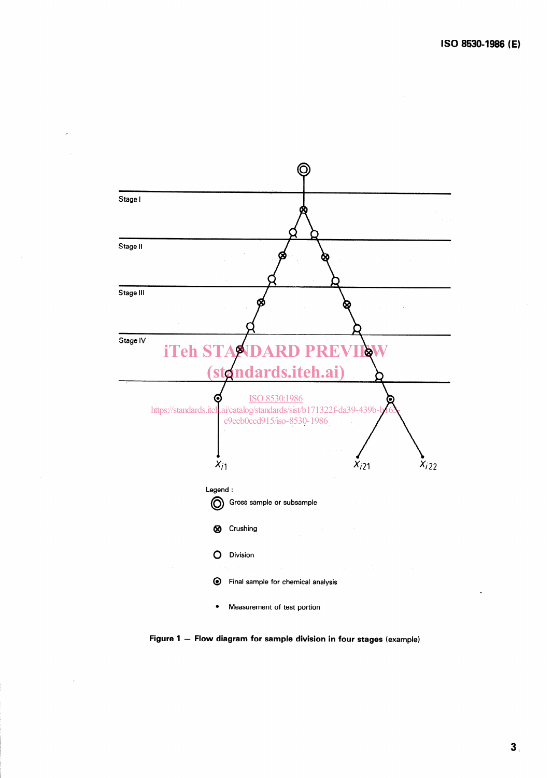

Figure 1 - Flow diagram for sample division in four stages (example)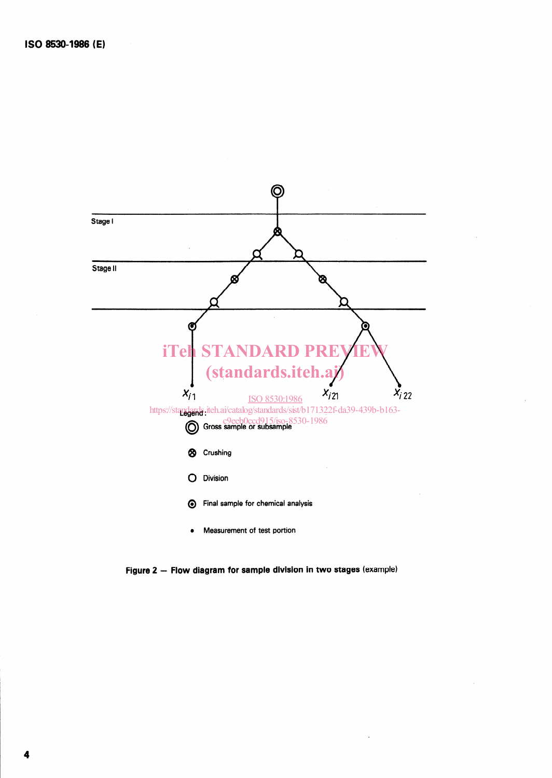

Figure 2 - Flow diagram for sample division in two stages (example)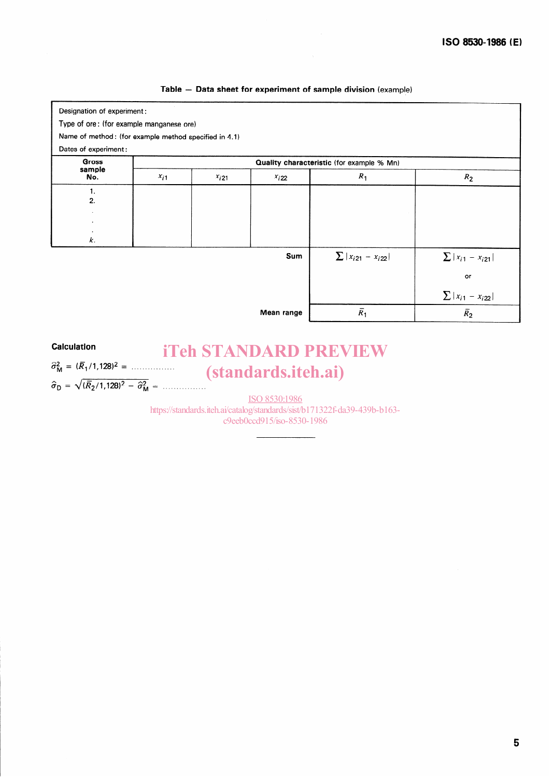#### Table - Data sheet for experiment of Sample division (example)

| Designation of experiment:                                                    |           |          |            |                            |                           |
|-------------------------------------------------------------------------------|-----------|----------|------------|----------------------------|---------------------------|
| Type of ore: (for example manganese ore)                                      |           |          |            |                            |                           |
| Name of method: (for example method specified in 4.1)<br>Dates of experiment: |           |          |            |                            |                           |
|                                                                               |           |          |            |                            |                           |
| $x_{i1}$                                                                      | $x_{i21}$ | $x_i$ 22 | $R_1$      | $R_2$                      |                           |
| 1.                                                                            |           |          |            |                            |                           |
| 2.                                                                            |           |          |            |                            |                           |
|                                                                               |           |          |            |                            |                           |
|                                                                               |           |          |            |                            |                           |
| k.                                                                            |           |          |            |                            |                           |
|                                                                               |           |          | Sum        | $\sum  x_{i21} - x_{i22} $ | $\sum  x_{i1} - x_{i21} $ |
|                                                                               |           |          |            |                            | or                        |
|                                                                               |           |          |            |                            | $\sum  x_{i1} - x_{i22} $ |
|                                                                               |           |          | Mean range | $\overline{R}_1$           | $\bar{R_2}$               |

#### **Calculation**

 $\sigma_{\rm M}^2 = (R_1/1, 128)^2 =$  .................  $\hat{\sigma}_{\text{D}} = \sqrt{(R_2/1, 128)^2 - \hat{\sigma}_{\text{M}}^2} =$  .................

## iTeh STANDARD PREVIEW (standards.iteh.ai)

ISO 8530:1986 https://standards.iteh.ai/catalog/standards/sist/b171322f-da39-439b-b163 c9eeb0ccd915/iso-8530-1986